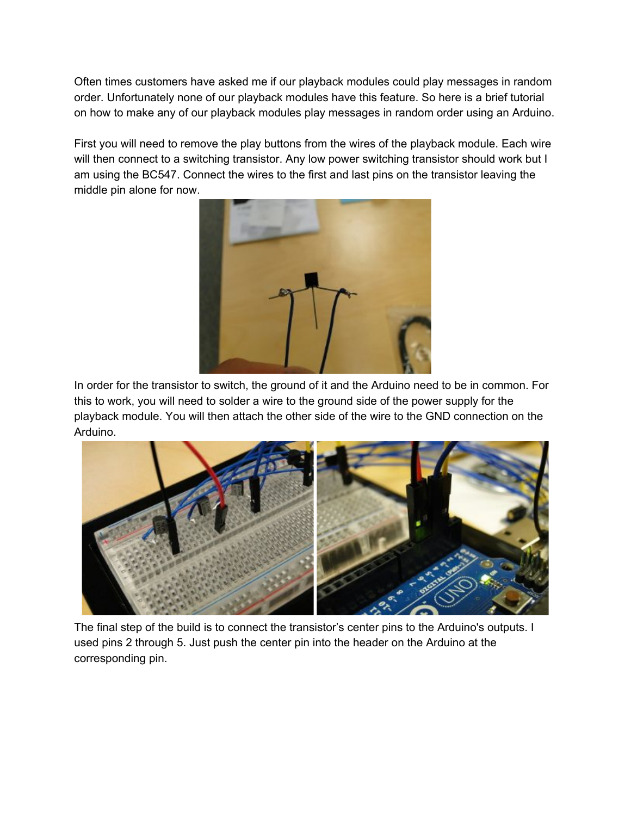Often times customers have asked me if our playback modules could play messages in random order. Unfortunately none of our playback modules have this feature. So here is a brief tutorial on how to make any of our playback modules play messages in random order using an Arduino.

First you will need to remove the play buttons from the wires of the playback module. Each wire will then connect to a switching transistor. Any low power switching transistor should work but I am using the BC547. Connect the wires to the first and last pins on the transistor leaving the middle pin alone for now.



In order for the transistor to switch, the ground of it and the Arduino need to be in common. For this to work, you will need to solder a wire to the ground side of the power supply for the playback module. You will then attach the other side of the wire to the GND connection on the Arduino.



The final step of the build is to connect the transistor's center pins to the Arduino's outputs. I used pins 2 through 5. Just push the center pin into the header on the Arduino at the corresponding pin.